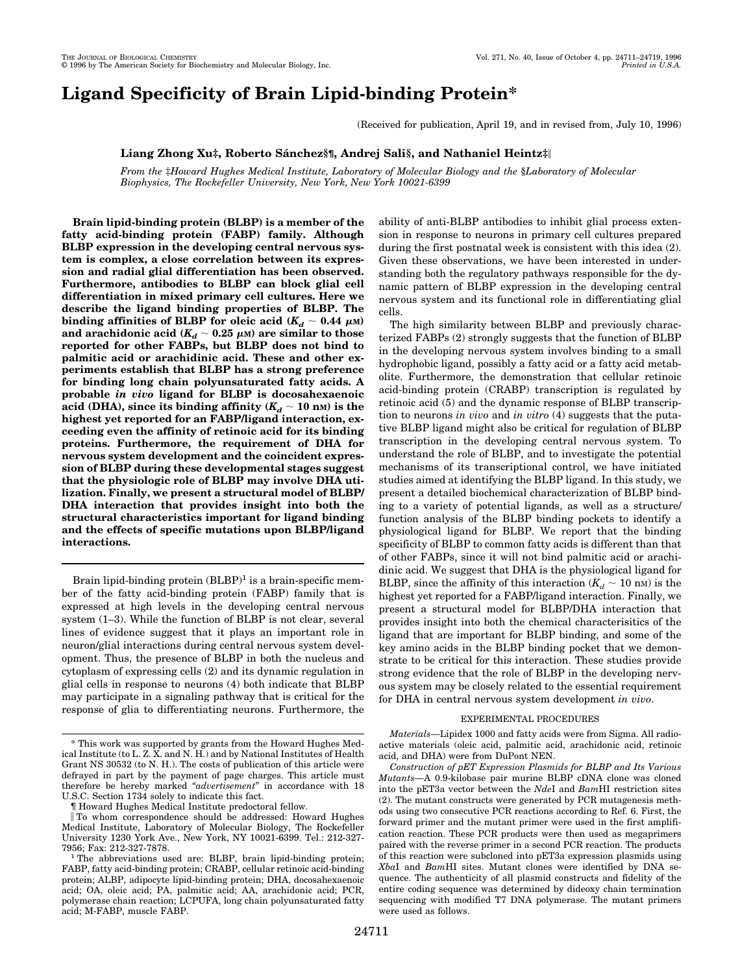# **Ligand Specificity of Brain Lipid-binding Protein\***

(Received for publication, April 19, and in revised from, July 10, 1996)

# **Liang Zhong Xu‡, Roberto Sánchez§¶**, Andrej Sali§, and Nathaniel Heintz‡||

*From the* ‡*Howard Hughes Medical Institute, Laboratory of Molecular Biology and the* §*Laboratory of Molecular Biophysics, The Rockefeller University, New York, New York 10021-6399*

**Brain lipid-binding protein (BLBP) is a member of the fatty acid-binding protein (FABP) family. Although BLBP expression in the developing central nervous system is complex, a close correlation between its expression and radial glial differentiation has been observed. Furthermore, antibodies to BLBP can block glial cell differentiation in mixed primary cell cultures. Here we describe the ligand binding properties of BLBP. The binding affinities of BLBP for oleic acid (** $K_d \sim 0.44 \mu$ **M)** and arachidonic acid  $(K_d \sim 0.25 \mu)$  are similar to those **reported for other FABPs, but BLBP does not bind to palmitic acid or arachidinic acid. These and other experiments establish that BLBP has a strong preference for binding long chain polyunsaturated fatty acids. A probable** *in vivo* **ligand for BLBP is docosahexaenoic** acid (DHA), since its binding affinity  $(K_d \sim 10 \text{ nm})$  is the **highest yet reported for an FABP/ligand interaction, exceeding even the affinity of retinoic acid for its binding proteins. Furthermore, the requirement of DHA for nervous system development and the coincident expression of BLBP during these developmental stages suggest that the physiologic role of BLBP may involve DHA utilization. Finally, we present a structural model of BLBP/ DHA interaction that provides insight into both the structural characteristics important for ligand binding and the effects of specific mutations upon BLBP/ligand interactions.**

Brain lipid-binding protein  $(BLBP)^1$  is a brain-specific member of the fatty acid-binding protein (FABP) family that is expressed at high levels in the developing central nervous system (1–3). While the function of BLBP is not clear, several lines of evidence suggest that it plays an important role in neuron/glial interactions during central nervous system development. Thus, the presence of BLBP in both the nucleus and cytoplasm of expressing cells (2) and its dynamic regulation in glial cells in response to neurons (4) both indicate that BLBP may participate in a signaling pathway that is critical for the response of glia to differentiating neurons. Furthermore, the ability of anti-BLBP antibodies to inhibit glial process extension in response to neurons in primary cell cultures prepared during the first postnatal week is consistent with this idea (2). Given these observations, we have been interested in understanding both the regulatory pathways responsible for the dynamic pattern of BLBP expression in the developing central nervous system and its functional role in differentiating glial cells.

The high similarity between BLBP and previously characterized FABPs (2) strongly suggests that the function of BLBP in the developing nervous system involves binding to a small hydrophobic ligand, possibly a fatty acid or a fatty acid metabolite. Furthermore, the demonstration that cellular retinoic acid-binding protein (CRABP) transcription is regulated by retinoic acid (5) and the dynamic response of BLBP transcription to neurons *in vivo* and *in vitro* (4) suggests that the putative BLBP ligand might also be critical for regulation of BLBP transcription in the developing central nervous system. To understand the role of BLBP, and to investigate the potential mechanisms of its transcriptional control, we have initiated studies aimed at identifying the BLBP ligand. In this study, we present a detailed biochemical characterization of BLBP binding to a variety of potential ligands, as well as a structure/ function analysis of the BLBP binding pockets to identify a physiological ligand for BLBP. We report that the binding specificity of BLBP to common fatty acids is different than that of other FABPs, since it will not bind palmitic acid or arachidinic acid. We suggest that DHA is the physiological ligand for BLBP, since the affinity of this interaction  $(K_d \sim 10 \text{ nm})$  is the highest yet reported for a FABP/ligand interaction. Finally, we present a structural model for BLBP/DHA interaction that provides insight into both the chemical characterisitics of the ligand that are important for BLBP binding, and some of the key amino acids in the BLBP binding pocket that we demonstrate to be critical for this interaction. These studies provide strong evidence that the role of BLBP in the developing nervous system may be closely related to the essential requirement for DHA in central nervous system development *in vivo*.

#### EXPERIMENTAL PROCEDURES

*Materials—*Lipidex 1000 and fatty acids were from Sigma. All radioactive materials (oleic acid, palmitic acid, arachidonic acid, retinoic acid, and DHA) were from DuPont NEN.

<sup>\*</sup> This work was supported by grants from the Howard Hughes Medical Institute (to L. Z. X. and N. H.) and by National Institutes of Health Grant NS 30532 (to N. H.). The costs of publication of this article were defrayed in part by the payment of page charges. This article must therefore be hereby marked "*advertisement*" in accordance with 18 U.S.C. Section 1734 solely to indicate this fact.

<sup>¶</sup> Howard Hughes Medical Institute predoctoral fellow.

i To whom correspondence should be addressed: Howard Hughes Medical Institute, Laboratory of Molecular Biology, The Rockefeller University 1230 York Ave., New York, NY 10021-6399. Tel.: 212-327-

<sup>&</sup>lt;sup>1</sup>The abbreviations used are: BLBP, brain lipid-binding protein; FABP, fatty acid-binding protein; CRABP, cellular retinoic acid-binding protein; ALBP, adipocyte lipid-binding protein; DHA, docosahexaenoic acid; OA, oleic acid; PA, palmitic acid; AA, arachidonic acid; PCR, polymerase chain reaction; LCPUFA, long chain polyunsaturated fatty acid; M-FABP, muscle FABP.

*Construction of pET Expression Plasmids for BLBP and Its Various Mutants—*A 0.9-kilobase pair murine BLBP cDNA clone was cloned into the pET3a vector between the *Nde*I and *Bam*HI restriction sites (2). The mutant constructs were generated by PCR mutagenesis methods using two consecutive PCR reactions according to Ref. 6. First, the forward primer and the mutant primer were used in the first amplification reaction. These PCR products were then used as megaprimers paired with the reverse primer in a second PCR reaction. The products of this reaction were subcloned into pET3a expression plasmids using *Xba*I and *Bam*HI sites. Mutant clones were identified by DNA sequence. The authenticity of all plasmid constructs and fidelity of the entire coding sequence was determined by dideoxy chain termination sequencing with modified T7 DNA polymerase. The mutant primers were used as follows.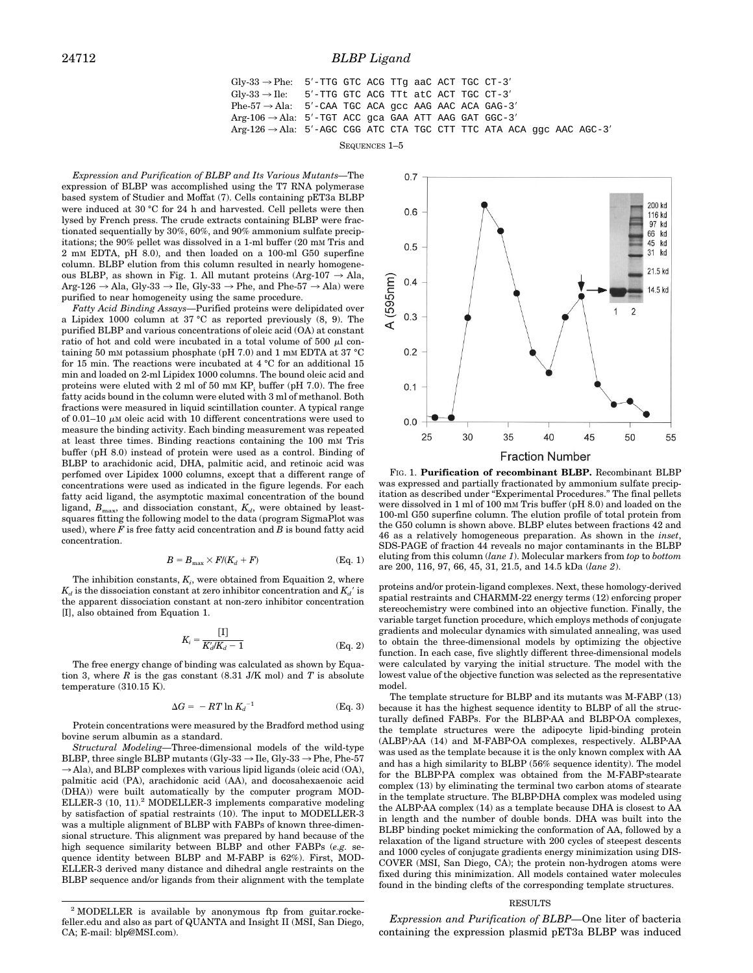## 24712 *BLBP Ligand*

$$
Gly-33 \rightarrow Phe
$$
: 5'-TTG GTC ACG TTG aAC ACT TGC CT-3'  
\n $Gly-33 \rightarrow Ile$ : 5'-TTG GTC ACG TTt atC ACT TGC CT-3'  
\n $Phe-57 \rightarrow Ala$ : 5'-CAA TGC ACA gCC AAG AAC ACA GAG-3'  
\n $Arg-106 \rightarrow Ala$ : 5'-TGT ACC gca GAA ATT AAG GAT GGC-3'  
\n $Arg-126 \rightarrow Ala$ : 5'-AGC CGG ATC CTA TGC CTT TTC ATA ACA ggc AAC AGC-3'

SEQUENCES 1–5

*Expression and Purification of BLBP and Its Various Mutants—*The expression of BLBP was accomplished using the T7 RNA polymerase based system of Studier and Moffat (7). Cells containing pET3a BLBP were induced at 30 °C for 24 h and harvested. Cell pellets were then lysed by French press. The crude extracts containing BLBP were fractionated sequentially by 30%, 60%, and 90% ammonium sulfate precipitations; the 90% pellet was dissolved in a 1-ml buffer (20 mM Tris and 2 mM EDTA, pH 8.0), and then loaded on a 100-ml G50 superfine column. BLBP elution from this column resulted in nearly homogeneous BLBP, as shown in Fig. 1. All mutant proteins (Arg-107  $\rightarrow$  Ala, Arg-126  $\rightarrow$  Ala, Gly-33  $\rightarrow$  Ile, Gly-33  $\rightarrow$  Phe, and Phe-57  $\rightarrow$  Ala) were purified to near homogeneity using the same procedure.

*Fatty Acid Binding Assays—*Purified proteins were delipidated over a Lipidex 1000 column at 37 °C as reported previously (8, 9). The purified BLBP and various concentrations of oleic acid (OA) at constant ratio of hot and cold were incubated in a total volume of  $500 \mu l$  containing 50 mM potassium phosphate (pH 7.0) and 1 mM EDTA at 37 °C for 15 min. The reactions were incubated at 4 °C for an additional 15 min and loaded on 2-ml Lipidex 1000 columns. The bound oleic acid and proteins were eluted with 2 ml of 50 mm  $KP_i$  buffer (pH 7.0). The free fatty acids bound in the column were eluted with 3 ml of methanol. Both fractions were measured in liquid scintillation counter. A typical range of 0.01–10  $\mu$ M oleic acid with 10 different concentrations were used to measure the binding activity. Each binding measurement was repeated at least three times. Binding reactions containing the 100 mM Tris buffer (pH 8.0) instead of protein were used as a control. Binding of BLBP to arachidonic acid, DHA, palmitic acid, and retinoic acid was perfomed over Lipidex 1000 columns, except that a different range of concentrations were used as indicated in the figure legends. For each fatty acid ligand, the asymptotic maximal concentration of the bound ligand,  $B_{\text{max}}$ , and dissociation constant,  $K_d$ , were obtained by leastsquares fitting the following model to the data (program SigmaPlot was used), where *F* is free fatty acid concentration and *B* is bound fatty acid concentration.

$$
B = B_{\text{max}} \times F/(K_d + F) \tag{Eq. 1}
$$

The inhibition constants,  $K_i$ , were obtained from Equaition 2, where  $K_d$  is the dissociation constant at zero inhibitor concentration and  $K_d$ <sup> $\prime$ </sup> is the apparent dissociation constant at non-zero inhibitor concentration [I], also obtained from Equation 1.

$$
K_i = \frac{[1]}{K_d/K_d - 1}
$$
 (Eq. 2)

The free energy change of binding was calculated as shown by Equation 3, where  $R$  is the gas constant  $(8.31 \text{ J/K mol})$  and  $T$  is absolute temperature (310.15 K).

$$
\Delta G = -RT \ln K_d^{-1} \tag{Eq. 3}
$$

Protein concentrations were measured by the Bradford method using bovine serum albumin as a standard.

*Structural Modeling—*Three-dimensional models of the wild-type BLBP, three single BLBP mutants (Gly-33  $\rightarrow$  Ile, Gly-33  $\rightarrow$  Phe, Phe-57  $\rightarrow$  Ala), and BLBP complexes with various lipid ligands (oleic acid (OA), palmitic acid (PA), arachidonic acid (AA), and docosahexaenoic acid (DHA)) were built automatically by the computer program MOD-ELLER-3 (10, 11).<sup>2</sup> MODELLER-3 implements comparative modeling by satisfaction of spatial restraints (10). The input to MODELLER-3 was a multiple alignment of BLBP with FABPs of known three-dimensional structure. This alignment was prepared by hand because of the high sequence similarity between BLBP and other FABPs (*e.g.* sequence identity between BLBP and M-FABP is 62%). First, MOD-ELLER-3 derived many distance and dihedral angle restraints on the BLBP sequence and/or ligands from their alignment with the template



FIG. 1. **Purification of recombinant BLBP.** Recombinant BLBP was expressed and partially fractionated by ammonium sulfate precipitation as described under "Experimental Procedures." The final pellets were dissolved in 1 ml of 100 mM Tris buffer (pH 8.0) and loaded on the 100-ml G50 superfine column. The elution profile of total protein from the G50 column is shown above. BLBP elutes between fractions 42 and 46 as a relatively homogeneous preparation. As shown in the *inset*, SDS-PAGE of fraction 44 reveals no major contaminants in the BLBP eluting from this column (*lane 1*). Molecular markers from *top* to *bottom* are 200, 116, 97, 66, 45, 31, 21.5, and 14.5 kDa (*lane 2*).

proteins and/or protein-ligand complexes. Next, these homology-derived spatial restraints and CHARMM-22 energy terms (12) enforcing proper stereochemistry were combined into an objective function. Finally, the variable target function procedure, which employs methods of conjugate gradients and molecular dynamics with simulated annealing, was used to obtain the three-dimensional models by optimizing the objective function. In each case, five slightly different three-dimensional models were calculated by varying the initial structure. The model with the lowest value of the objective function was selected as the representative model.

The template structure for BLBP and its mutants was M-FABP (13) because it has the highest sequence identity to BLBP of all the structurally defined FABPs. For the BLBP-AA and BLBP-OA complexes, the template structures were the adipocyte lipid-binding protein (ALBP)·AA (14) and M-FABP·OA complexes, respectively. ALBP·AA was used as the template because it is the only known complex with AA and has a high similarity to BLBP (56% sequence identity). The model for the BLBP·PA complex was obtained from the M-FABP·stearate complex (13) by eliminating the terminal two carbon atoms of stearate in the template structure. The BLBP·DHA complex was modeled using the ALBP $\cdot$ AA complex (14) as a template because DHA is closest to AA in length and the number of double bonds. DHA was built into the BLBP binding pocket mimicking the conformation of AA, followed by a relaxation of the ligand structure with 200 cycles of steepest descents and 1000 cycles of conjugate gradients energy minimization using DIS-COVER (MSI, San Diego, CA); the protein non-hydrogen atoms were fixed during this minimization. All models contained water molecules found in the binding clefts of the corresponding template structures.

#### RESULTS

*Expression and Purification of BLBP—*One liter of bacteria containing the expression plasmid pET3a BLBP was induced

<sup>2</sup> MODELLER is available by anonymous ftp from guitar.rockefeller.edu and also as part of QUANTA and Insight II (MSI, San Diego, CA; E-mail: blp@MSI.com).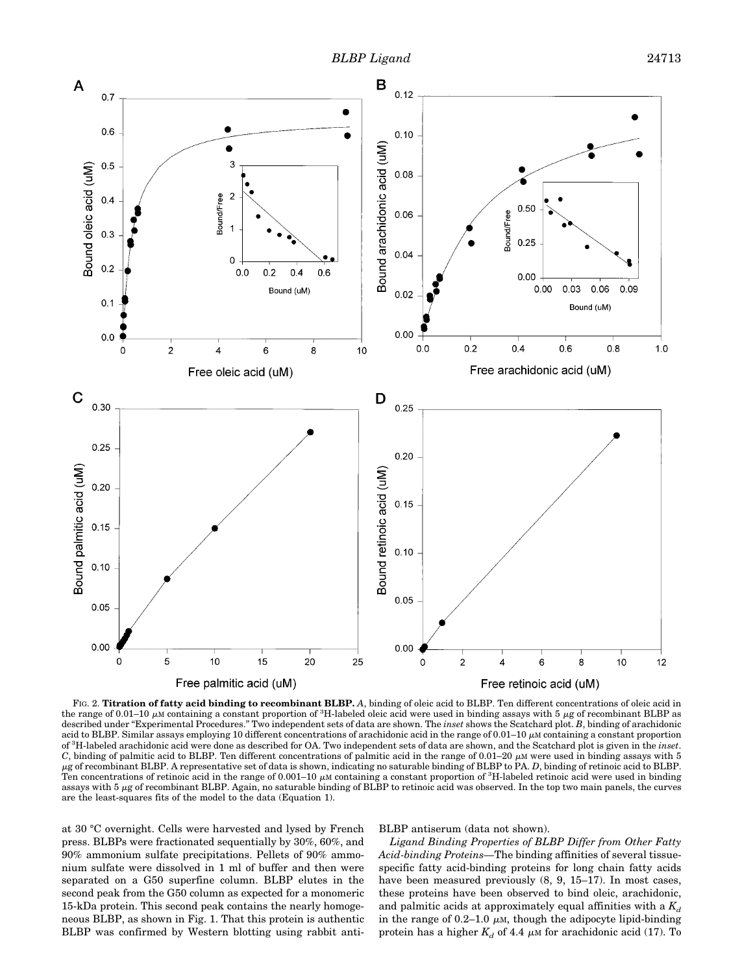

FIG. 2. **Titration of fatty acid binding to recombinant BLBP.** *A*, binding of oleic acid to BLBP. Ten different concentrations of oleic acid in the range of 0.01–10  $\mu$ M containing a constant proportion of <sup>3</sup>H-labeled oleic acid were used in binding assays with 5  $\mu$ g of recombinant BLBP as described under "Experimental Procedures." Two independent sets of data are shown. The *inset* shows the Scatchard plot. *B*, binding of arachidonic acid to BLBP. Similar assays employing 10 different concentrations of arachidonic acid in the range of  $0.01-10 \mu$ M containing a constant proportion of <sup>3</sup> H-labeled arachidonic acid were done as described for OA. Two independent sets of data are shown, and the Scatchard plot is given in the *inset*.  $C$ , binding of palmitic acid to BLBP. Ten different concentrations of palmitic acid in the range of 0.01–20  $\mu$ M were used in binding assays with 5 <sup>m</sup>g of recombinant BLBP. A representative set of data is shown, indicating no saturable binding of BLBP to PA. *D*, binding of retinoic acid to BLBP. Ten concentrations of retinoic acid in the range of 0.001–10  $\mu$ M containing a constant proportion of <sup>3</sup>H-labeled retinoic acid were used in binding assays with 5 <sup>m</sup>g of recombinant BLBP. Again, no saturable binding of BLBP to retinoic acid was observed. In the top two main panels, the curves are the least-squares fits of the model to the data (Equation 1).

at 30 °C overnight. Cells were harvested and lysed by French press. BLBPs were fractionated sequentially by 30%, 60%, and 90% ammonium sulfate precipitations. Pellets of 90% ammonium sulfate were dissolved in 1 ml of buffer and then were separated on a G50 superfine column. BLBP elutes in the second peak from the G50 column as expected for a monomeric 15-kDa protein. This second peak contains the nearly homogeneous BLBP, as shown in Fig. 1. That this protein is authentic BLBP was confirmed by Western blotting using rabbit anti-

## BLBP antiserum (data not shown).

*Ligand Binding Properties of BLBP Differ from Other Fatty Acid-binding Proteins—*The binding affinities of several tissuespecific fatty acid-binding proteins for long chain fatty acids have been measured previously  $(8, 9, 15-17)$ . In most cases, these proteins have been observed to bind oleic, arachidonic, and palmitic acids at approximately equal affinities with a  $K_d$ in the range of 0.2–1.0  $\mu$ M, though the adipocyte lipid-binding protein has a higher  $K_d$  of 4.4  $\mu$ M for arachidonic acid (17). To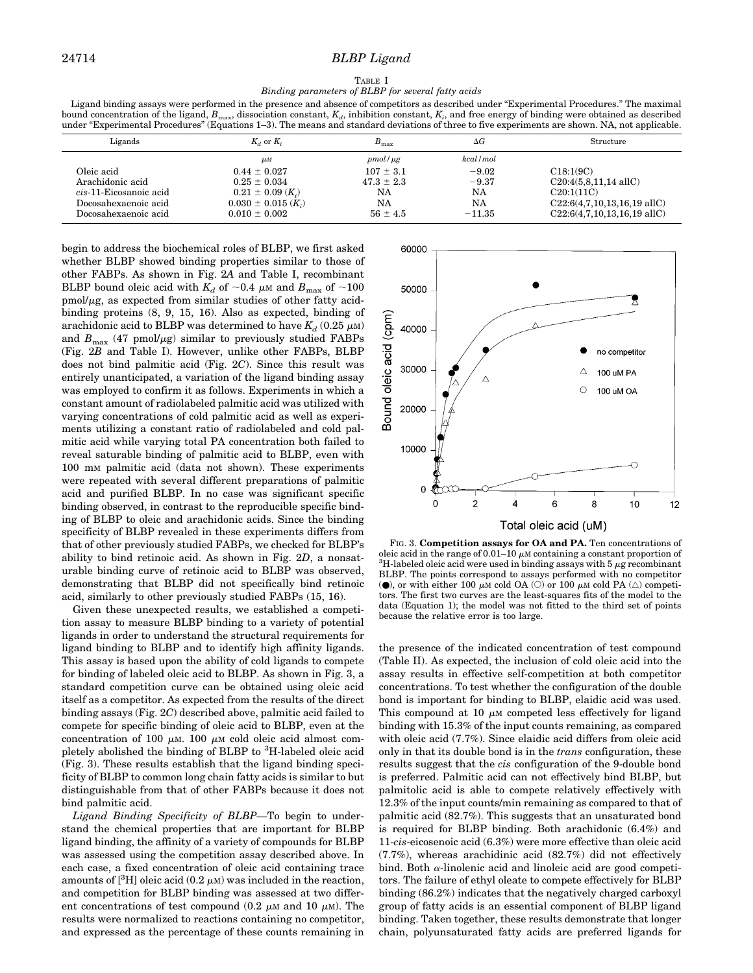#### TABLE I *Binding parameters of BLBP for several fatty acids*

Ligand binding assays were performed in the presence and absence of competitors as described under "Experimental Procedures." The maximal bound concentration of the ligand,  $B_{\text{max}}$ , dissociation constant,  $K_d$ , inhibition constant,  $K_i$ , and free energy of binding were obtained as described under "Experimental Procedures" (Equations 1–3). The means and standard deviations of three to five experiments are shown. NA, not applicable.

| Ligands                | $K_d$ or $K_i$                              | $B_{\rm max}$  | $\Delta G$ | Structure                             |  |
|------------------------|---------------------------------------------|----------------|------------|---------------------------------------|--|
|                        | $\mu$ M                                     | $pmol/\mu g$   | kcal/mol   |                                       |  |
| Oleic acid             | $0.44 \pm 0.027$                            | $107 \pm 3.1$  | $-9.02$    | C18:1(9C)                             |  |
| Arachidonic acid       | $0.25 \pm 0.034$                            | $47.3 \pm 2.3$ | $-9.37$    | $C20:4(5,8,11,14 \text{ allC})$       |  |
| cis-11-Eicosanoic acid | $0.21 \pm 0.09$ $(K_i)$                     | NA             | NA         | C20:1(11C)                            |  |
| Docosahexaenoic acid   | $0.030 \pm 0.015$ ( <i>K</i> <sub>i</sub> ) | NA             | NA         | $C22:6(4,7,10,13,16,19 \text{ allC})$ |  |
| Docosahexaenoic acid   | $0.010 \pm 0.002$                           | $56 \pm 4.5$   | $-11.35$   | $C22:6(4,7,10,13,16,19 \text{ allC})$ |  |

begin to address the biochemical roles of BLBP, we first asked whether BLBP showed binding properties similar to those of other FABPs. As shown in Fig. 2*A* and Table I, recombinant BLBP bound oleic acid with  $K_d$  of  $\sim 0.4$   $\mu$ M and  $B_{\text{max}}$  of  $\sim 100$  $pmol/\mu$ g, as expected from similar studies of other fatty acidbinding proteins (8, 9, 15, 16). Also as expected, binding of arachidonic acid to BLBP was determined to have  $K_d$  (0.25  $\mu$ M) and  $B_{\text{max}}$  (47 pmol/ $\mu$ g) similar to previously studied FABPs (Fig. 2*B* and Table I). However, unlike other FABPs, BLBP does not bind palmitic acid (Fig. 2*C*). Since this result was entirely unanticipated, a variation of the ligand binding assay was employed to confirm it as follows. Experiments in which a constant amount of radiolabeled palmitic acid was utilized with varying concentrations of cold palmitic acid as well as experiments utilizing a constant ratio of radiolabeled and cold palmitic acid while varying total PA concentration both failed to reveal saturable binding of palmitic acid to BLBP, even with 100 mM palmitic acid (data not shown). These experiments were repeated with several different preparations of palmitic acid and purified BLBP. In no case was significant specific binding observed, in contrast to the reproducible specific binding of BLBP to oleic and arachidonic acids. Since the binding specificity of BLBP revealed in these experiments differs from that of other previously studied FABPs, we checked for BLBP's ability to bind retinoic acid. As shown in Fig. 2*D*, a nonsaturable binding curve of retinoic acid to BLBP was observed, demonstrating that BLBP did not specifically bind retinoic acid, similarly to other previously studied FABPs (15, 16).

Given these unexpected results, we established a competition assay to measure BLBP binding to a variety of potential ligands in order to understand the structural requirements for ligand binding to BLBP and to identify high affinity ligands. This assay is based upon the ability of cold ligands to compete for binding of labeled oleic acid to BLBP. As shown in Fig. 3, a standard competition curve can be obtained using oleic acid itself as a competitor. As expected from the results of the direct binding assays (Fig. 2*C*) described above, palmitic acid failed to compete for specific binding of oleic acid to BLBP, even at the concentration of 100  $\mu$ M. 100  $\mu$ M cold oleic acid almost completely abolished the binding of BLBP to <sup>3</sup>H-labeled oleic acid (Fig. 3). These results establish that the ligand binding specificity of BLBP to common long chain fatty acids is similar to but distinguishable from that of other FABPs because it does not bind palmitic acid.

*Ligand Binding Specificity of BLBP—*To begin to understand the chemical properties that are important for BLBP ligand binding, the affinity of a variety of compounds for BLBP was assessed using the competition assay described above. In each case, a fixed concentration of oleic acid containing trace amounts of [ ${}^{3}$ H] oleic acid (0.2  $\mu$ M) was included in the reaction, and competition for BLBP binding was assessed at two different concentrations of test compound (0.2  $\mu$ M and 10  $\mu$ M). The results were normalized to reactions containing no competitor, and expressed as the percentage of these counts remaining in



FIG. 3. **Competition assays for OA and PA.** Ten concentrations of oleic acid in the range of  $0.01-10 \mu$ M containing a constant proportion of <sup>3</sup>H-labeled oleic acid were used in binding assays with 5  $\mu$ g recombinant BLBP. The points correspond to assays performed with no competitor ( $\bullet$ ), or with either 100  $\mu$ M cold OA ( $\circ$ ) or 100  $\mu$ M cold PA ( $\triangle$ ) competitors. The first two curves are the least-squares fits of the model to the data (Equation 1); the model was not fitted to the third set of points because the relative error is too large.

the presence of the indicated concentration of test compound (Table II). As expected, the inclusion of cold oleic acid into the assay results in effective self-competition at both competitor concentrations. To test whether the configuration of the double bond is important for binding to BLBP, elaidic acid was used. This compound at 10  $\mu$ M competed less effectively for ligand binding with 15.3% of the input counts remaining, as compared with oleic acid (7.7%). Since elaidic acid differs from oleic acid only in that its double bond is in the *trans* configuration, these results suggest that the *cis* configuration of the 9-double bond is preferred. Palmitic acid can not effectively bind BLBP, but palmitolic acid is able to compete relatively effectively with 12.3% of the input counts/min remaining as compared to that of palmitic acid (82.7%). This suggests that an unsaturated bond is required for BLBP binding. Both arachidonic (6.4%) and 11-*cis*-eicosenoic acid (6.3%) were more effective than oleic acid (7.7%), whereas arachidinic acid (82.7%) did not effectively bind. Both  $\alpha$ -linolenic acid and linoleic acid are good competitors. The failure of ethyl oleate to compete effectively for BLBP binding (86.2%) indicates that the negatively charged carboxyl group of fatty acids is an essential component of BLBP ligand binding. Taken together, these results demonstrate that longer chain, polyunsaturated fatty acids are preferred ligands for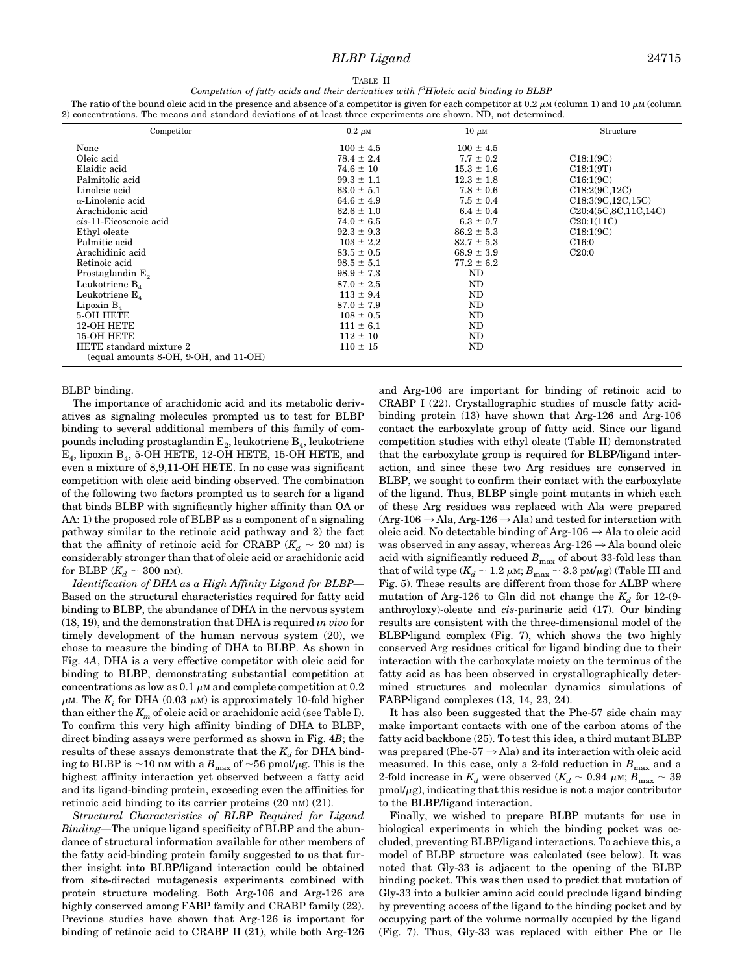# *BLBP Ligand* 24715

TABLE II

*Competition of fatty acids and their derivatives with [3 H]oleic acid binding to BLBP*

The ratio of the bound oleic acid in the presence and absence of a competitor is given for each competitor at 0.2  $\mu$ M (column 1) and 10  $\mu$ M (column 2) concentrations. The means and standard deviations of at least three experiments are shown. ND, not determined.

| Competitor                                | $0.2 \mu \text{m}$ | $10 \mu M$     | Structure                            |
|-------------------------------------------|--------------------|----------------|--------------------------------------|
| None                                      | $100 \pm 4.5$      | $100 \pm 4.5$  |                                      |
| Oleic acid                                | $78.4 \pm 2.4$     | $7.7 \pm 0.2$  | C18:1(9C)                            |
| Elaidic acid                              | $74.6 \pm 10$      | $15.3 \pm 1.6$ | C18:1(9T)                            |
| Palmitolic acid                           | $99.3 \pm 1.1$     | $12.3 \pm 1.8$ | C16:1(9C)                            |
| Linoleic acid                             | $63.0 \pm 5.1$     | $7.8 \pm 0.6$  | C18:2(9C,12C)                        |
| $\alpha$ -Linolenic acid                  | $64.6 \pm 4.9$     | $7.5 \pm 0.4$  | C18:3(9C, 12C, 15C)                  |
| Arachidonic acid                          | $62.6 \pm 1.0$     | $6.4 \pm 0.4$  | C <sub>20</sub> :4(5C, 8C, 11C, 14C) |
| cis-11-Eicosenoic acid                    | $74.0 \pm 6.5$     | $6.3 \pm 0.7$  | C20:1(11C)                           |
| Ethyl oleate                              | $92.3 \pm 9.3$     | $86.2 \pm 5.3$ | C18:1(9C)                            |
| Palmitic acid                             | $103 \pm 2.2$      | $82.7 \pm 5.3$ | C16:0                                |
| Arachidinic acid                          | $83.5 \pm 0.5$     | $68.9 \pm 3.9$ | C20:0                                |
| Retinoic acid                             | $98.5 \pm 5.1$     | $77.2 \pm 6.2$ |                                      |
| Prostaglandin E <sub>2</sub>              | $98.9 \pm 7.3$     | ND             |                                      |
| Leukotriene $B_4$                         | $87.0 \pm 2.5$     | ND             |                                      |
| Leukotriene $E_{\lambda}$                 | $113 \pm 9.4$      | ND             |                                      |
| Lipoxin $B_4$                             | $87.0 \pm 7.9$     | ND             |                                      |
| 5-OH HETE                                 | $108 \pm 0.5$      | ND             |                                      |
| 12-OH HETE                                | $111 \pm 6.1$      | ND             |                                      |
| 15-OH HETE                                | $112 \pm 10$       | ND             |                                      |
| HETE standard mixture 2                   | $110 \pm 15$       | ND             |                                      |
| $(equal\ amounts\ 8-OH, 9-OH, and 11-OH)$ |                    |                |                                      |

## BLBP binding.

The importance of arachidonic acid and its metabolic derivatives as signaling molecules prompted us to test for BLBP binding to several additional members of this family of compounds including prostaglandin  $E_2$ , leukotriene  $B_4$ , leukotriene  $E_4$ , lipoxin  $B_4$ , 5-OH HETE, 12-OH HETE, 15-OH HETE, and even a mixture of 8,9,11-OH HETE. In no case was significant competition with oleic acid binding observed. The combination of the following two factors prompted us to search for a ligand that binds BLBP with significantly higher affinity than OA or AA: 1) the proposed role of BLBP as a component of a signaling pathway similar to the retinoic acid pathway and 2) the fact that the affinity of retinoic acid for CRABP ( $K_d \sim 20$  nm) is considerably stronger than that of oleic acid or arachidonic acid for BLBP ( $K_d \sim 300$  nm).

*Identification of DHA as a High Affinity Ligand for BLBP—* Based on the structural characteristics required for fatty acid binding to BLBP, the abundance of DHA in the nervous system (18, 19), and the demonstration that DHA is required *in vivo* for timely development of the human nervous system (20), we chose to measure the binding of DHA to BLBP. As shown in Fig. 4*A*, DHA is a very effective competitor with oleic acid for binding to BLBP, demonstrating substantial competition at concentrations as low as  $0.1 \mu M$  and complete competition at  $0.2$  $\mu$ M. The  $K_i$  for DHA (0.03  $\mu$ M) is approximately 10-fold higher than either the  $K_m$  of oleic acid or arachidonic acid (see Table I). To confirm this very high affinity binding of DHA to BLBP, direct binding assays were performed as shown in Fig. 4*B*; the results of these assays demonstrate that the  $K_d$  for DHA binding to BLBP is  $\sim$ 10 nm with a  $B_{\text{max}}$  of  $\sim$ 56 pmol/ $\mu$ g. This is the highest affinity interaction yet observed between a fatty acid and its ligand-binding protein, exceeding even the affinities for retinoic acid binding to its carrier proteins (20 nm) (21).

*Structural Characteristics of BLBP Required for Ligand Binding—*The unique ligand specificity of BLBP and the abundance of structural information available for other members of the fatty acid-binding protein family suggested to us that further insight into BLBP/ligand interaction could be obtained from site-directed mutagenesis experiments combined with protein structure modeling. Both Arg-106 and Arg-126 are highly conserved among FABP family and CRABP family (22). Previous studies have shown that Arg-126 is important for binding of retinoic acid to CRABP II (21), while both Arg-126 and Arg-106 are important for binding of retinoic acid to CRABP I (22). Crystallographic studies of muscle fatty acidbinding protein (13) have shown that Arg-126 and Arg-106 contact the carboxylate group of fatty acid. Since our ligand competition studies with ethyl oleate (Table II) demonstrated that the carboxylate group is required for BLBP/ligand interaction, and since these two Arg residues are conserved in BLBP, we sought to confirm their contact with the carboxylate of the ligand. Thus, BLBP single point mutants in which each of these Arg residues was replaced with Ala were prepared  $(Arg-106 \rightarrow Ala, Arg-126 \rightarrow Ala)$  and tested for interaction with oleic acid. No detectable binding of Arg-106  $\rightarrow$  Ala to oleic acid was observed in any assay, whereas  $Arg-126 \rightarrow Ala$  bound oleic acid with significantly reduced  $B_{\text{max}}$  of about 33-fold less than that of wild type ( $K_d \sim 1.2 \mu$ M;  $B_{\text{max}} \sim 3.3 \text{ pM}/\mu\text{g}$ ) (Table III and Fig. 5). These results are different from those for ALBP where mutation of Arg-126 to Gln did not change the  $K_d$  for 12-(9anthroyloxy)-oleate and *cis*-parinaric acid (17). Our binding results are consistent with the three-dimensional model of the BLBP-ligand complex (Fig. 7), which shows the two highly conserved Arg residues critical for ligand binding due to their interaction with the carboxylate moiety on the terminus of the fatty acid as has been observed in crystallographically determined structures and molecular dynamics simulations of FABP ligand complexes (13, 14, 23, 24).

It has also been suggested that the Phe-57 side chain may make important contacts with one of the carbon atoms of the fatty acid backbone (25). To test this idea, a third mutant BLBP was prepared (Phe-57  $\rightarrow$  Ala) and its interaction with oleic acid measured. In this case, only a 2-fold reduction in  $B_{\text{max}}$  and a 2-fold increase in  $K_d$  were observed  $(K_d \sim 0.94 \mu \text{m}; B_{\text{max}} \sim 39$  $\text{pmol}/\mu$ g), indicating that this residue is not a major contributor to the BLBP/ligand interaction.

Finally, we wished to prepare BLBP mutants for use in biological experiments in which the binding pocket was occluded, preventing BLBP/ligand interactions. To achieve this, a model of BLBP structure was calculated (see below). It was noted that Gly-33 is adjacent to the opening of the BLBP binding pocket. This was then used to predict that mutation of Gly-33 into a bulkier amino acid could preclude ligand binding by preventing access of the ligand to the binding pocket and by occupying part of the volume normally occupied by the ligand (Fig. 7). Thus, Gly-33 was replaced with either Phe or Ile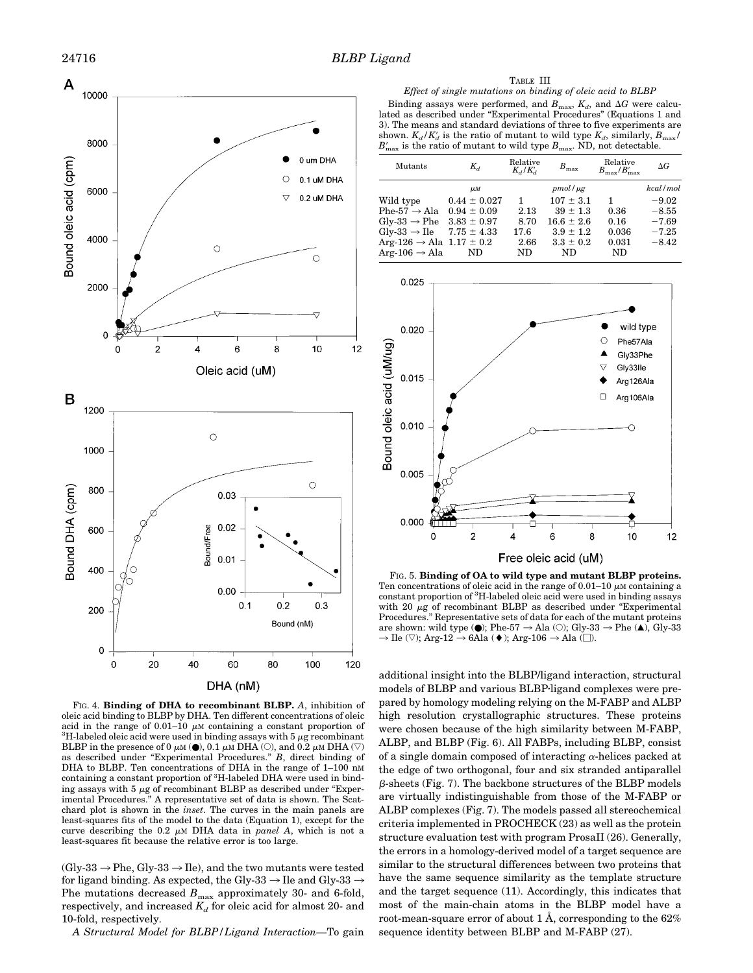

FIG. 4. **Binding of DHA to recombinant BLBP.** *A*, inhibition of oleic acid binding to BLBP by DHA. Ten different concentrations of oleic acid in the range of 0.01–10  $\mu$ M containing a constant proportion of <sup>3</sup>H-labeled oleic acid were used in binding assays with 5  $\mu$ g recombinant BLBP in the presence of 0  $\mu$ M ( $\bullet$ ), 0.1  $\mu$ M DHA ( $\circ$ ), and 0.2  $\mu$ M DHA ( $\heartsuit$ ) as described under "Experimental Procedures." *B*, direct binding of DHA to BLBP. Ten concentrations of DHA in the range of 1–100 nM containing a constant proportion of <sup>3</sup> H-labeled DHA were used in binding assays with 5  $\mu$ g of recombinant BLBP as described under "Experimental Procedures." A representative set of data is shown. The Scatchard plot is shown in the *inset*. The curves in the main panels are least-squares fits of the model to the data (Equation 1), except for the curve describing the  $0.2 \mu M$  DHA data in *panel A*, which is not a least-squares fit because the relative error is too large.

 $(Gly-33 \rightarrow Phe, Gly-33 \rightarrow Ile)$ , and the two mutants were tested for ligand binding. As expected, the Gly-33  $\rightarrow$  Ile and Gly-33  $\rightarrow$ Phe mutations decreased  $B_{\text{max}}$  approximately 30- and 6-fold, respectively, and increased  $K_d$  for oleic acid for almost 20- and 10-fold, respectively.

*A Structural Model for BLBP/Ligand Interaction—*To gain

### TABLE III

*Effect of single mutations on binding of oleic acid to BLBP* Binding assays were performed, and  $B_{\text{max}}$ ,  $K_d$ , and  $\Delta G$  were calculated as described under "Experimental Procedures" (Equations 1 and 3). The means and standard deviations of three to five experiments are shown.  $K_d/K_d'$  is the ratio of mutant to wild type  $K_d$ , similarly,  $B_{\text{max}}/$  $B'_{\text{max}}$  is the ratio of mutant to wild type  $B_{\text{max}}$ . ND, not detectable.

| Mutants                                           | $K_d$            | Relative<br>$K_d/K_d$ | $B_{\rm max}$  | Relative<br>$B_{\text{max}}/B'_{\text{max}}$ | $\Delta G$ |
|---------------------------------------------------|------------------|-----------------------|----------------|----------------------------------------------|------------|
|                                                   | $\mu$ <i>M</i>   |                       | $pmol/\mu g$   |                                              | kcal / mol |
| Wild type                                         | $0.44 \pm 0.027$ | 1.                    | $107 \pm 3.1$  | 1                                            | $-9.02$    |
| Phe-57 $\rightarrow$ Ala                          | $0.94 \pm 0.09$  | 2.13                  | $39 \pm 1.3$   | 0.36                                         | $-8.55$    |
| $\mathrm{Gly}\text{-}33 \rightarrow \mathrm{Phe}$ | $3.83 \pm 0.97$  | 8.70                  | $16.6 \pm 2.6$ | 0.16                                         | $-7.69$    |
| Gly-33 $\rightarrow$ Ile                          | $7.75 \pm 4.33$  | 17.6                  | $3.9 \pm 1.2$  | 0.036                                        | $-7.25$    |
| Arg-126 $\rightarrow$ Ala 1.17 $\pm$ 0.2          |                  | 2.66                  | $3.3 \pm 0.2$  | 0.031                                        | $-8.42$    |
| Arg-106 $\rightarrow$ Ala                         | ND.              | $_{\rm ND}$           | ND.            | ND                                           |            |
|                                                   |                  |                       |                |                                              |            |



FIG. 5. **Binding of OA to wild type and mutant BLBP proteins.** Ten concentrations of oleic acid in the range of 0.01–10  $\mu$ M containing a constant proportion of <sup>3</sup> H-labeled oleic acid were used in binding assays with 20  $\mu$ g of recombinant BLBP as described under "Experimental Procedures." Representative sets of data for each of the mutant proteins are shown: wild type  $\textcircled{\bullet}$ ; Phe-57  $\rightarrow$  Ala  $\textcircled{\circ}$ ; Gly-33  $\rightarrow$  Phe  $\textcircled{\blacktriangle}$ , Gly-33  $\rightarrow$  Ile ( $\nabla$ ); Arg-12  $\rightarrow$  6Ala ( $\blacklozenge$ ); Arg-106  $\rightarrow$  Ala ( $\square$ ).

additional insight into the BLBP/ligand interaction, structural models of BLBP and various BLBP ligand complexes were prepared by homology modeling relying on the M-FABP and ALBP high resolution crystallographic structures. These proteins were chosen because of the high similarity between M-FABP, ALBP, and BLBP (Fig. 6). All FABPs, including BLBP, consist of a single domain composed of interacting  $\alpha$ -helices packed at the edge of two orthogonal, four and six stranded antiparallel  $\beta$ -sheets (Fig. 7). The backbone structures of the BLBP models are virtually indistinguishable from those of the M-FABP or ALBP complexes (Fig. 7). The models passed all stereochemical criteria implemented in PROCHECK (23) as well as the protein structure evaluation test with program ProsaII (26). Generally, the errors in a homology-derived model of a target sequence are similar to the structural differences between two proteins that have the same sequence similarity as the template structure and the target sequence (11). Accordingly, this indicates that most of the main-chain atoms in the BLBP model have a root-mean-square error of about 1 Å, corresponding to the  $62\%$ sequence identity between BLBP and M-FABP (27).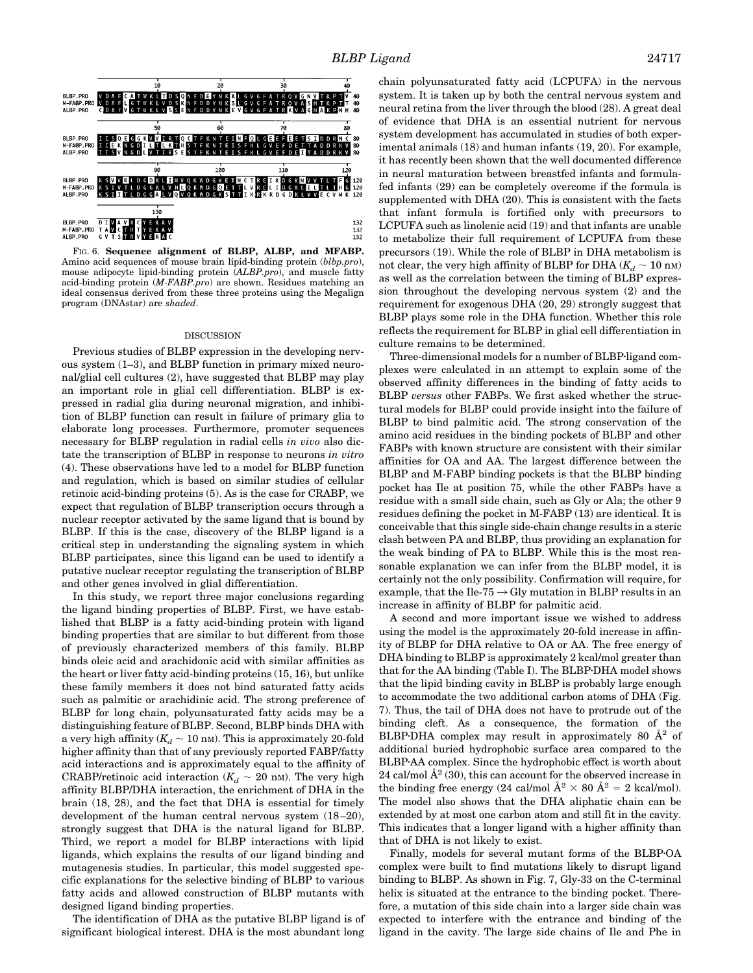

FIG. 6. **Sequence alignment of BLBP, ALBP, and MFABP.** Amino acid sequences of mouse brain lipid-binding protein (*blbp.pro*), mouse adipocyte lipid-binding protein (*ALBP.pro*), and muscle fatty acid-binding protein (*M-FABP.pro*) are shown. Residues matching an ideal consensus derived from these three proteins using the Megalign program (DNAstar) are *shaded*.

#### DISCUSSION

Previous studies of BLBP expression in the developing nervous system (1–3), and BLBP function in primary mixed neuronal/glial cell cultures (2), have suggested that BLBP may play an important role in glial cell differentiation. BLBP is expressed in radial glia during neuronal migration, and inhibition of BLBP function can result in failure of primary glia to elaborate long processes. Furthermore, promoter sequences necessary for BLBP regulation in radial cells *in vivo* also dictate the transcription of BLBP in response to neurons *in vitro* (4). These observations have led to a model for BLBP function and regulation, which is based on similar studies of cellular retinoic acid-binding proteins (5). As is the case for CRABP, we expect that regulation of BLBP transcription occurs through a nuclear receptor activated by the same ligand that is bound by BLBP. If this is the case, discovery of the BLBP ligand is a critical step in understanding the signaling system in which BLBP participates, since this ligand can be used to identify a putative nuclear receptor regulating the transcription of BLBP and other genes involved in glial differentiation.

In this study, we report three major conclusions regarding the ligand binding properties of BLBP. First, we have established that BLBP is a fatty acid-binding protein with ligand binding properties that are similar to but different from those of previously characterized members of this family. BLBP binds oleic acid and arachidonic acid with similar affinities as the heart or liver fatty acid-binding proteins (15, 16), but unlike these family members it does not bind saturated fatty acids such as palmitic or arachidinic acid. The strong preference of BLBP for long chain, polyunsaturated fatty acids may be a distinguishing feature of BLBP. Second, BLBP binds DHA with a very high affinity  $(K_d \sim 10 \text{ nm})$ . This is approximately 20-fold higher affinity than that of any previously reported FABP/fatty acid interactions and is approximately equal to the affinity of CRABP/retinoic acid interaction ( $K_d \sim 20$  nm). The very high affinity BLBP/DHA interaction, the enrichment of DHA in the brain (18, 28), and the fact that DHA is essential for timely development of the human central nervous system  $(18-20)$ , strongly suggest that DHA is the natural ligand for BLBP. Third, we report a model for BLBP interactions with lipid ligands, which explains the results of our ligand binding and mutagenesis studies. In particular, this model suggested specific explanations for the selective binding of BLBP to various fatty acids and allowed construction of BLBP mutants with designed ligand binding properties.

The identification of DHA as the putative BLBP ligand is of significant biological interest. DHA is the most abundant long chain polyunsaturated fatty acid (LCPUFA) in the nervous system. It is taken up by both the central nervous system and neural retina from the liver through the blood (28). A great deal of evidence that DHA is an essential nutrient for nervous system development has accumulated in studies of both experimental animals (18) and human infants (19, 20). For example, it has recently been shown that the well documented difference in neural maturation between breastfed infants and formulafed infants (29) can be completely overcome if the formula is supplemented with DHA (20). This is consistent with the facts that infant formula is fortified only with precursors to LCPUFA such as linolenic acid (19) and that infants are unable to metabolize their full requirement of LCPUFA from these precursors (19). While the role of BLBP in DHA metabolism is not clear, the very high affinity of BLBP for DHA  $(K_d \sim 10 \text{ nm})$ as well as the correlation between the timing of BLBP expression throughout the developing nervous system (2) and the requirement for exogenous DHA (20, 29) strongly suggest that BLBP plays some role in the DHA function. Whether this role reflects the requirement for BLBP in glial cell differentiation in culture remains to be determined.

Three-dimensional models for a number of BLBP-ligand complexes were calculated in an attempt to explain some of the observed affinity differences in the binding of fatty acids to BLBP *versus* other FABPs. We first asked whether the structural models for BLBP could provide insight into the failure of BLBP to bind palmitic acid. The strong conservation of the amino acid residues in the binding pockets of BLBP and other FABPs with known structure are consistent with their similar affinities for OA and AA. The largest difference between the BLBP and M-FABP binding pockets is that the BLBP binding pocket has Ile at position 75, while the other FABPs have a residue with a small side chain, such as Gly or Ala; the other 9 residues defining the pocket in M-FABP (13) are identical. It is conceivable that this single side-chain change results in a steric clash between PA and BLBP, thus providing an explanation for the weak binding of PA to BLBP. While this is the most reasonable explanation we can infer from the BLBP model, it is certainly not the only possibility. Confirmation will require, for example, that the Ile-75  $\rightarrow$  Gly mutation in BLBP results in an increase in affinity of BLBP for palmitic acid.

A second and more important issue we wished to address using the model is the approximately 20-fold increase in affinity of BLBP for DHA relative to OA or AA. The free energy of DHA binding to BLBP is approximately 2 kcal/mol greater than that for the AA binding (Table I). The BLBP. DHA model shows that the lipid binding cavity in BLBP is probably large enough to accommodate the two additional carbon atoms of DHA (Fig. 7). Thus, the tail of DHA does not have to protrude out of the binding cleft. As a consequence, the formation of the BLBPDHA complex may result in approximately 80  $\AA^2$  of additional buried hydrophobic surface area compared to the BLBP·AA complex. Since the hydrophobic effect is worth about 24 cal/mol  $\mathring{A}^2$  (30), this can account for the observed increase in the binding free energy (24 cal/mol  $\AA^2 \times 80 \text{ Å}^2 = 2 \text{ kcal/mol}$ ). The model also shows that the DHA aliphatic chain can be extended by at most one carbon atom and still fit in the cavity. This indicates that a longer ligand with a higher affinity than that of DHA is not likely to exist.

Finally, models for several mutant forms of the BLBP-OA complex were built to find mutations likely to disrupt ligand binding to BLBP. As shown in Fig. 7, Gly-33 on the C-terminal helix is situated at the entrance to the binding pocket. Therefore, a mutation of this side chain into a larger side chain was expected to interfere with the entrance and binding of the ligand in the cavity. The large side chains of Ile and Phe in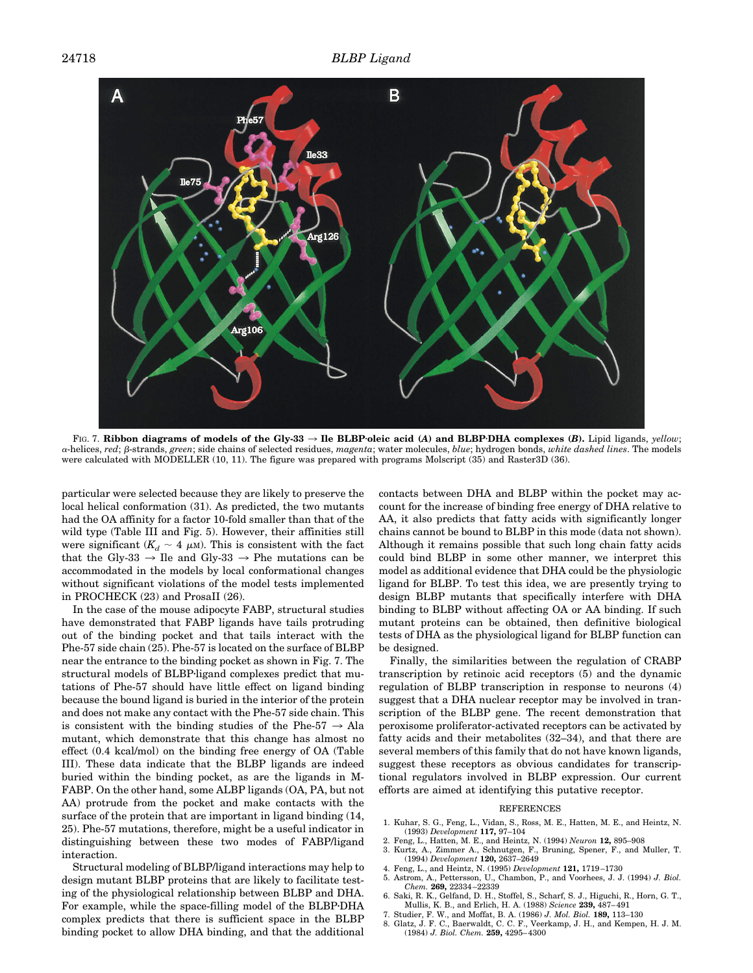

FIG. 7. Ribbon diagrams of models of the Gly-33  $\rightarrow$  Ile BLBP·oleic acid (A) and BLBP·DHA complexes (B). Lipid ligands, *yellow*; <sup>a</sup>-helices, *red*; b-strands, *green*; side chains of selected residues, *magenta*; water molecules, *blue*; hydrogen bonds, *white dashed lines*. The models were calculated with MODELLER (10, 11). The figure was prepared with programs Molscript (35) and Raster3D (36).

particular were selected because they are likely to preserve the local helical conformation (31). As predicted, the two mutants had the OA affinity for a factor 10-fold smaller than that of the wild type (Table III and Fig. 5). However, their affinities still were significant  $(K_d \sim 4 \mu M)$ . This is consistent with the fact that the Gly-33  $\rightarrow$  Ile and Gly-33  $\rightarrow$  Phe mutations can be accommodated in the models by local conformational changes without significant violations of the model tests implemented in PROCHECK (23) and ProsaII (26).

In the case of the mouse adipocyte FABP, structural studies have demonstrated that FABP ligands have tails protruding out of the binding pocket and that tails interact with the Phe-57 side chain (25). Phe-57 is located on the surface of BLBP near the entrance to the binding pocket as shown in Fig. 7. The structural models of BLBP-ligand complexes predict that mutations of Phe-57 should have little effect on ligand binding because the bound ligand is buried in the interior of the protein and does not make any contact with the Phe-57 side chain. This is consistent with the binding studies of the Phe-57  $\rightarrow$  Ala mutant, which demonstrate that this change has almost no effect (0.4 kcal/mol) on the binding free energy of OA (Table III). These data indicate that the BLBP ligands are indeed buried within the binding pocket, as are the ligands in M-FABP. On the other hand, some ALBP ligands (OA, PA, but not AA) protrude from the pocket and make contacts with the surface of the protein that are important in ligand binding (14, 25). Phe-57 mutations, therefore, might be a useful indicator in distinguishing between these two modes of FABP/ligand interaction.

Structural modeling of BLBP/ligand interactions may help to design mutant BLBP proteins that are likely to facilitate testing of the physiological relationship between BLBP and DHA. For example, while the space-filling model of the BLBP·DHA complex predicts that there is sufficient space in the BLBP binding pocket to allow DHA binding, and that the additional

contacts between DHA and BLBP within the pocket may account for the increase of binding free energy of DHA relative to AA, it also predicts that fatty acids with significantly longer chains cannot be bound to BLBP in this mode (data not shown). Although it remains possible that such long chain fatty acids could bind BLBP in some other manner, we interpret this model as additional evidence that DHA could be the physiologic ligand for BLBP. To test this idea, we are presently trying to design BLBP mutants that specifically interfere with DHA binding to BLBP without affecting OA or AA binding. If such mutant proteins can be obtained, then definitive biological tests of DHA as the physiological ligand for BLBP function can be designed.

Finally, the similarities between the regulation of CRABP transcription by retinoic acid receptors (5) and the dynamic regulation of BLBP transcription in response to neurons (4) suggest that a DHA nuclear receptor may be involved in transcription of the BLBP gene. The recent demonstration that peroxisome proliferator-activated receptors can be activated by fatty acids and their metabolites (32–34), and that there are several members of this family that do not have known ligands, suggest these receptors as obvious candidates for transcriptional regulators involved in BLBP expression. Our current efforts are aimed at identifying this putative receptor.

#### **REFERENCES**

- 1. Kuhar, S. G., Feng, L., Vidan, S., Ross, M. E., Hatten, M. E., and Heintz, N. (1993) *Development* **117,** 97–104
- 2. Feng, L., Hatten, M. E., and Heintz, N. (1994) *Neuron* **12,** 895–908
- 3. Kurtz, A., Zimmer A., Schnutgen, F., Bruning, Spener, F., and Muller, T. (1994) *Development* **120,** 2637–2649
- 4. Feng, L., and Heintz, N. (1995) *Development* **121,** 1719 –1730 5. Astrom, A., Pettersson, U., Chambon, P., and Voorhees, J. J. (1994) *J. Biol. Chem.* **269,** 22334 –22339
- 6. Saki, R. K., Gelfand, D. H., Stoffel, S., Scharf, S. J., Higuchi, R., Horn, G. T., Mullis, K. B., and Erlich, H. A. (1988) *Science* **239,** 487– 491
- 7. Studier, F. W., and Moffat, B. A. (1986) *J. Mol. Biol.* **189,** 113–130
- 8. Glatz, J. F. C., Baerwaldt, C. C. F., Veerkamp, J. H., and Kempen, H. J. M. (1984) *J. Biol. Chem.* **259,** 4295– 4300